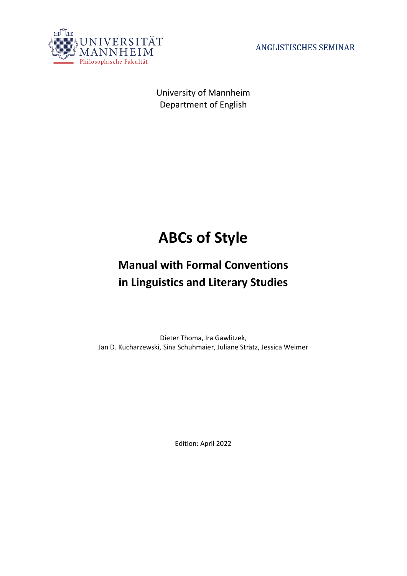

**ANGLISTISCHES SEMINAR** 

University of Mannheim Department of English

# **ABCs of Style**

# **Manual with Formal Conventions in Linguistics and Literary Studies**

Dieter Thoma, Ira Gawlitzek, Jan D. Kucharzewski, Sina Schuhmaier, Juliane Strätz, Jessica Weimer

Edition: April 2022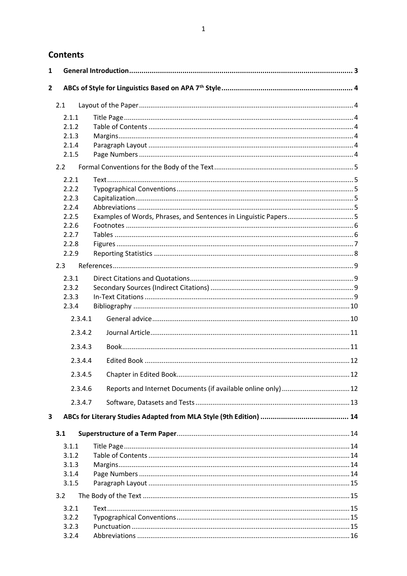# **Contents**

| 1              |         |                                                                 |  |
|----------------|---------|-----------------------------------------------------------------|--|
| $\overline{2}$ |         |                                                                 |  |
|                |         |                                                                 |  |
|                | 2.1     |                                                                 |  |
|                | 2.1.1   |                                                                 |  |
|                | 2.1.2   |                                                                 |  |
|                | 2.1.3   |                                                                 |  |
|                | 2.1.4   |                                                                 |  |
|                | 2.1.5   |                                                                 |  |
|                | 2.2     |                                                                 |  |
|                | 2.2.1   |                                                                 |  |
|                | 2.2.2   |                                                                 |  |
|                | 2.2.3   |                                                                 |  |
|                | 2.2.4   |                                                                 |  |
|                | 2.2.5   | Examples of Words, Phrases, and Sentences in Linguistic Papers5 |  |
|                | 2.2.6   |                                                                 |  |
|                | 2.2.7   |                                                                 |  |
|                | 2.2.8   |                                                                 |  |
|                | 2.2.9   |                                                                 |  |
|                | 2.3     |                                                                 |  |
|                | 2.3.1   |                                                                 |  |
|                | 2.3.2   |                                                                 |  |
|                | 2.3.3   |                                                                 |  |
|                | 2.3.4   |                                                                 |  |
|                | 2.3.4.1 |                                                                 |  |
|                | 2.3.4.2 |                                                                 |  |
|                | 2.3.4.3 |                                                                 |  |
|                | 2.3.4.4 |                                                                 |  |
|                |         |                                                                 |  |
|                | 2.3.4.5 |                                                                 |  |
|                | 2.3.4.6 |                                                                 |  |
|                | 2.3.4.7 |                                                                 |  |
| 3              |         |                                                                 |  |
|                | 3.1     |                                                                 |  |
|                | 3.1.1   |                                                                 |  |
|                | 3.1.2   |                                                                 |  |
|                | 3.1.3   |                                                                 |  |
|                | 3.1.4   |                                                                 |  |
|                | 3.1.5   |                                                                 |  |
|                | 3.2     |                                                                 |  |
|                | 3.2.1   |                                                                 |  |
|                | 3.2.2   |                                                                 |  |
|                | 3.2.3   |                                                                 |  |
|                | 3.2.4   |                                                                 |  |
|                |         |                                                                 |  |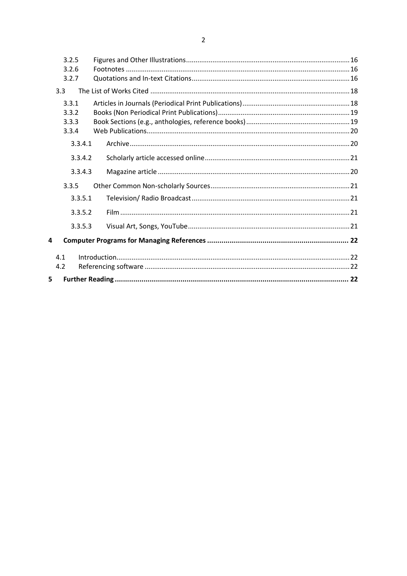|   | 3.2.5 |         |  |
|---|-------|---------|--|
|   | 3.2.6 |         |  |
|   | 3.2.7 |         |  |
|   | 3.3   |         |  |
|   | 3.3.1 |         |  |
|   | 3.3.2 |         |  |
|   | 3.3.3 |         |  |
|   | 3.3.4 |         |  |
|   |       | 3.3.4.1 |  |
|   |       | 3.3.4.2 |  |
|   |       | 3.3.4.3 |  |
|   | 3.3.5 |         |  |
|   |       | 3.3.5.1 |  |
|   |       | 3.3.5.2 |  |
|   |       | 3.3.5.3 |  |
| 4 |       |         |  |
|   | 4.1   |         |  |
|   | 4.2   |         |  |
| 5 |       |         |  |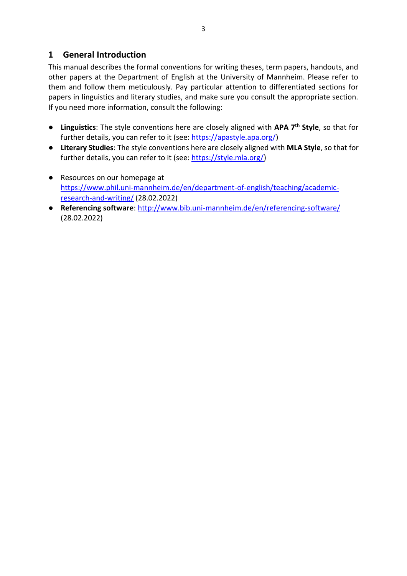# <span id="page-3-0"></span>**1 General Introduction**

This manual describes the formal conventions for writing theses, term papers, handouts, and other papers at the Department of English at the University of Mannheim. Please refer to them and follow them meticulously. Pay particular attention to differentiated sections for papers in linguistics and literary studies, and make sure you consult the appropriate section. If you need more information, consult the following:

- **Linguistics**: The style conventions here are closely aligned with **APA 7th Style**, so that for further details, you can refer to it (see: [https://apastyle.apa.org/\)](https://apastyle.apa.org/)
- **Literary Studies**: The style conventions here are closely aligned with **MLA Style**, so that for further details, you can refer to it (see: [https://style.mla.org/\)](https://style.mla.org/)
- Resources on our homepage at [https://www.phil.uni-mannheim.de/en/department-of-english/teaching/academic](https://www.phil.uni-mannheim.de/en/department-of-english/teaching/academic-research-and-writing/)[research-and-writing/](https://www.phil.uni-mannheim.de/en/department-of-english/teaching/academic-research-and-writing/) (28.02.2022)
- **Referencing software**:<http://www.bib.uni-mannheim.de/en/referencing-software/> (28.02.2022)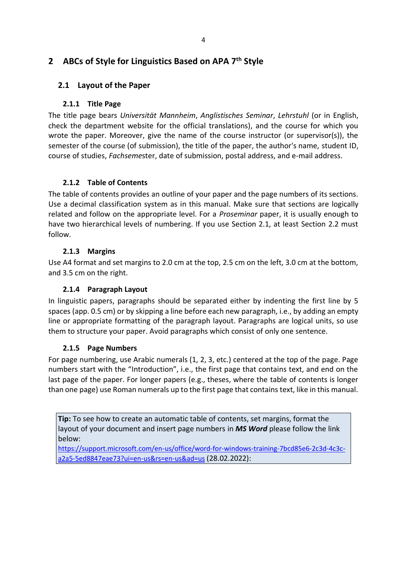# <span id="page-4-0"></span>**2 ABCs of Style for Linguistics Based on APA 7th Style**

# <span id="page-4-2"></span><span id="page-4-1"></span>**2.1 Layout of the Paper**

## **2.1.1 Title Page**

The title page bears *Universität Mannheim*, *Anglistisches Seminar*, *Lehrstuhl* (or in English, check the department website for the official translations), and the course for which you wrote the paper. Moreover, give the name of the course instructor (or supervisor(s)), the semester of the course (of submission), the title of the paper, the author's name, student ID, course of studies, *Fachseme*ster, date of submission, postal address, and e-mail address.

## <span id="page-4-3"></span>**2.1.2 Table of Contents**

The table of contents provides an outline of your paper and the page numbers of its sections. Use a decimal classification system as in this manual. Make sure that sections are logically related and follow on the appropriate level. For a *Proseminar* paper, it is usually enough to have two hierarchical levels of numbering. If you use Section 2.1, at least Section 2.2 must follow.

## **2.1.3 Margins**

<span id="page-4-4"></span>Use A4 format and set margins to 2.0 cm at the top, 2.5 cm on the left, 3.0 cm at the bottom, and 3.5 cm on the right.

## **2.1.4 Paragraph Layout**

<span id="page-4-5"></span>In linguistic papers, paragraphs should be separated either by indenting the first line by 5 spaces (app. 0.5 cm) or by skipping a line before each new paragraph, i.e., by adding an empty line or appropriate formatting of the paragraph layout. Paragraphs are logical units, so use them to structure your paper. Avoid paragraphs which consist of only one sentence.

## <span id="page-4-6"></span>**2.1.5 Page Numbers**

For page numbering, use Arabic numerals (1, 2, 3, etc.) centered at the top of the page. Page numbers start with the "Introduction", i.e., the first page that contains text, and end on the last page of the paper. For longer papers (e.g., theses, where the table of contents is longer than one page) use Roman numerals up to the first page that contains text, like in this manual.

**Tip:** To see how to create an automatic table of contents, set margins, format the layout of your document and insert page numbers in *MS Word* please follow the link below:

[https://support.microsoft.com/en-us/office/word-for-windows-training-7bcd85e6-2c3d-4c3c](https://support.microsoft.com/en-us/office/word-for-windows-training-7bcd85e6-2c3d-4c3c-a2a5-5ed8847eae73?ui=en-us&rs=en-us&ad=us)[a2a5-5ed8847eae73?ui=en-us&rs=en-us&ad=us](https://support.microsoft.com/en-us/office/word-for-windows-training-7bcd85e6-2c3d-4c3c-a2a5-5ed8847eae73?ui=en-us&rs=en-us&ad=us) (28.02.2022):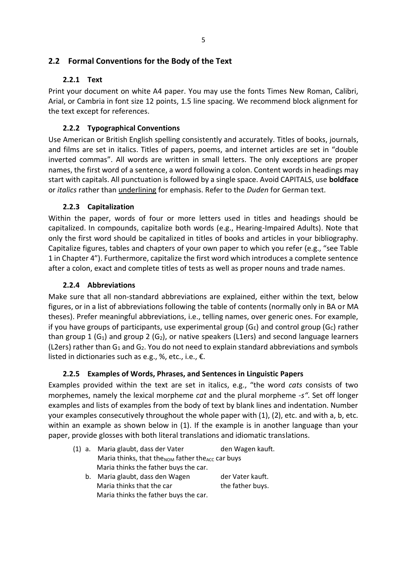# <span id="page-5-1"></span><span id="page-5-0"></span>**2.2 Formal Conventions for the Body of the Text**

## **2.2.1 Text**

Print your document on white A4 paper. You may use the fonts Times New Roman, Calibri, Arial, or Cambria in font size 12 points, 1.5 line spacing. We recommend block alignment for the text except for references.

# <span id="page-5-2"></span>**2.2.2 Typographical Conventions**

Use American or British English spelling consistently and accurately. Titles of books, journals, and films are set in italics. Titles of papers, poems, and internet articles are set in "double inverted commas". All words are written in small letters. The only exceptions are proper names, the first word of a sentence, a word following a colon. Content words in headings may start with capitals. All punctuation is followed by a single space. Avoid CAPITALS, use **boldface** or *italics* rather than underlining for emphasis. Refer to the *Duden* for German text.

# <span id="page-5-3"></span>**2.2.3 Capitalization**

Within the paper, words of four or more letters used in titles and headings should be capitalized. In compounds, capitalize both words (e.g., Hearing-Impaired Adults). Note that only the first word should be capitalized in titles of books and articles in your bibliography. Capitalize figures, tables and chapters of your own paper to which you refer (e.g., "see Table 1 in Chapter 4"). Furthermore, capitalize the first word which introduces a complete sentence after a colon, exact and complete titles of tests as well as proper nouns and trade names.

## <span id="page-5-4"></span>**2.2.4 Abbreviations**

Make sure that all non-standard abbreviations are explained, either within the text, below figures, or in a list of abbreviations following the table of contents (normally only in BA or MA theses). Prefer meaningful abbreviations, i.e., telling names, over generic ones. For example, if you have groups of participants, use experimental group ( $G_E$ ) and control group ( $G_C$ ) rather than group 1 (G<sub>1</sub>) and group 2 (G<sub>2</sub>), or native speakers (L1ers) and second language learners (L2ers) rather than  $G_1$  and  $G_2$ . You do not need to explain standard abbreviations and symbols listed in dictionaries such as e.g., %, etc., i.e., €.

# <span id="page-5-5"></span>**2.2.5 Examples of Words, Phrases, and Sentences in Linguistic Papers**

Examples provided within the text are set in italics, e.g., "the word *cats* consists of two morphemes, namely the lexical morpheme *cat* and the plural morpheme *-s"*. Set off longer examples and lists of examples from the body of text by blank lines and indentation. Number your examples consecutively throughout the whole paper with (1), (2), etc. and with a, b, etc. within an example as shown below in (1). If the example is in another language than your paper, provide glosses with both literal translations and idiomatic translations.

(1) a. Maria glaubt, dass der Vater den Wagen kauft. Maria thinks, that the $_{\text{NOM}}$  father the $_{\text{ACC}}$  car buys Maria thinks the father buys the car. b. Maria glaubt, dass den Wagen der Vater kauft. Maria thinks that the car the father buys.

Maria thinks the father buys the car.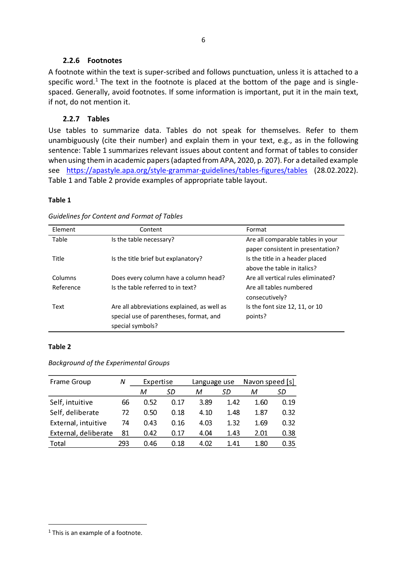#### **2.2.6 Footnotes**

<span id="page-6-0"></span>A footnote within the text is super-scribed and follows punctuation, unless it is attached to a specific word.<sup>1</sup> The text in the footnote is placed at the bottom of the page and is singlespaced. Generally, avoid footnotes. If some information is important, put it in the main text, if not, do not mention it.

## <span id="page-6-1"></span>**2.2.7 Tables**

Use tables to summarize data. Tables do not speak for themselves. Refer to them unambiguously (cite their number) and explain them in your text, e.g., as in the following sentence: Table 1 summarizes relevant issues about content and format of tables to consider when using them in academic papers (adapted from APA, 2020, p. 207). For a detailed example see <https://apastyle.apa.org/style-grammar-guidelines/tables-figures/tables> (28.02.2022). Table 1 and Table 2 provide examples of appropriate table layout.

#### **Table 1**

| Element   | Content                                     | Format                             |
|-----------|---------------------------------------------|------------------------------------|
| Table     | Is the table necessary?                     | Are all comparable tables in your  |
|           |                                             | paper consistent in presentation?  |
| Title     | Is the title brief but explanatory?         | Is the title in a header placed    |
|           |                                             | above the table in italics?        |
| Columns   | Does every column have a column head?       | Are all vertical rules eliminated? |
| Reference | Is the table referred to in text?           | Are all tables numbered            |
|           |                                             | consecutively?                     |
| Text      | Are all abbreviations explained, as well as | Is the font size 12, 11, or 10     |
|           | special use of parentheses, format, and     | points?                            |
|           | special symbols?                            |                                    |

#### *Guidelines for Content and Format of Tables*

#### **Table 2**

*Background of the Experimental Groups*

| Frame Group          | Ν   | Expertise |      | Language use |      | Navon speed [s] |      |
|----------------------|-----|-----------|------|--------------|------|-----------------|------|
|                      |     | м         | SD   | М            | SD   | м               | SD   |
| Self, intuitive      | 66  | 0.52      | 0.17 | 3.89         | 1.42 | 1.60            | 0.19 |
| Self, deliberate     | 72  | 0.50      | 0.18 | 4.10         | 1.48 | 1.87            | 0.32 |
| External, intuitive  | 74  | 0.43      | 0.16 | 4.03         | 1.32 | 1.69            | 0.32 |
| External, deliberate | 81  | 0.42      | 0.17 | 4.04         | 1.43 | 2.01            | 0.38 |
| Total                | 293 | 0.46      | 0.18 | 4.02         | 1.41 | 1.80            | 0.35 |

<sup>&</sup>lt;sup>1</sup> This is an example of a footnote.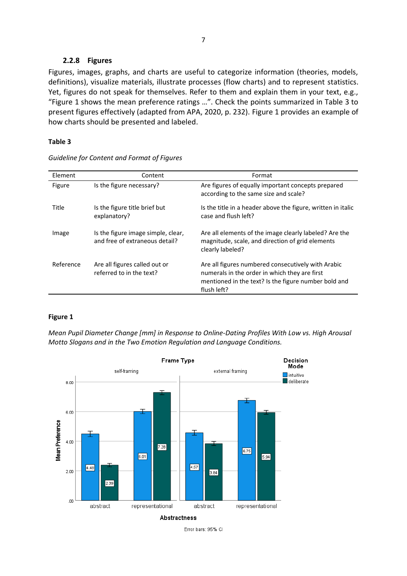#### **2.2.8 Figures**

<span id="page-7-0"></span>Figures, images, graphs, and charts are useful to categorize information (theories, models, definitions), visualize materials, illustrate processes (flow charts) and to represent statistics. Yet, figures do not speak for themselves. Refer to them and explain them in your text, e.g., "Figure 1 shows the mean preference ratings …". Check the points summarized in Table 3 to present figures effectively (adapted from APA, 2020, p. 232). Figure 1 provides an example of how charts should be presented and labeled.

#### **Table 3**

| Element   | Content                                                              | Format                                                                                                                                                                     |
|-----------|----------------------------------------------------------------------|----------------------------------------------------------------------------------------------------------------------------------------------------------------------------|
| Figure    | Is the figure necessary?                                             | Are figures of equally important concepts prepared<br>according to the same size and scale?                                                                                |
| Title     | Is the figure title brief but<br>explanatory?                        | Is the title in a header above the figure, written in italic<br>case and flush left?                                                                                       |
| Image     | Is the figure image simple, clear,<br>and free of extraneous detail? | Are all elements of the image clearly labeled? Are the<br>magnitude, scale, and direction of grid elements<br>clearly labeled?                                             |
| Reference | Are all figures called out or<br>referred to in the text?            | Are all figures numbered consecutively with Arabic<br>numerals in the order in which they are first<br>mentioned in the text? Is the figure number bold and<br>flush left? |

*Guideline for Content and Format of Figures*

#### **Figure 1**

*Mean Pupil Diameter Change [mm] in Response to Online-Dating Profiles With Low vs. High Arousal Motto Slogans and in the Two Emotion Regulation and Language Conditions.*



Error bars: 95% CI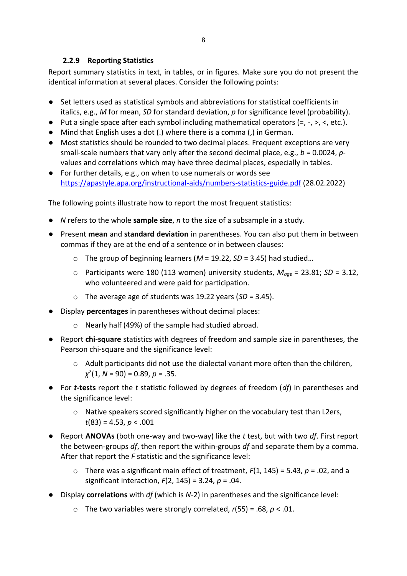## **2.2.9 Reporting Statistics**

<span id="page-8-0"></span>Report summary statistics in text, in tables, or in figures. Make sure you do not present the identical information at several places. Consider the following points:

- Set letters used as statistical symbols and abbreviations for statistical coefficients in italics, e.g., *M* for mean, *SD* for standard deviation, *p* for significance level (probability).
- $\bullet$  Put a single space after each symbol including mathematical operators (=, -, >, <, etc.).
- Mind that English uses a dot (.) where there is a comma (,) in German.
- Most statistics should be rounded to two decimal places. Frequent exceptions are very small-scale numbers that vary only after the second decimal place, e.g., *b* = 0.0024, *p*values and correlations which may have three decimal places, especially in tables.
- For further details, e.g., on when to use numerals or words see <https://apastyle.apa.org/instructional-aids/numbers-statistics-guide.pdf> (28.02.2022)

The following points illustrate how to report the most frequent statistics:

- *N* refers to the whole **sample size**, *n* to the size of a subsample in a study.
- Present **mean** and **standard deviation** in parentheses. You can also put them in between commas if they are at the end of a sentence or in between clauses:
	- o The group of beginning learners (*M* = 19.22, *SD* = 3.45) had studied…
	- o Participants were 180 (113 women) university students, *Mage* = 23.81; *SD* = 3.12, who volunteered and were paid for participation.
	- o The average age of students was 19.22 years (*SD* = 3.45).
- Display **percentages** in parentheses without decimal places:
	- o Nearly half (49%) of the sample had studied abroad.
- Report **chi-square** statistics with degrees of freedom and sample size in parentheses, the Pearson chi-square and the significance level:
	- o Adult participants did not use the dialectal variant more often than the children, *χ* 2 (1, *N* = 90) = 0.89, *p* = .35.
- For *t***-tests** report the *t* statistic followed by degrees of freedom (*df*) in parentheses and the significance level:
	- $\circ$  Native speakers scored significantly higher on the vocabulary test than L2ers, *t*(83) = 4.53, *p* < .001
- Report **ANOVAs** (both one-way and two-way) like the *t* test, but with two *df*. First report the between-groups *df*, then report the within-groups *df* and separate them by a comma. After that report the *F* statistic and the significance level:
	- o There was a significant main effect of treatment, *F*(1, 145) = 5.43, *p* = .02, and a significant interaction, *F*(2, 145) = 3.24, *p* = .04.
- Display **correlations** with *df* (which is *N*-2) in parentheses and the significance level:
	- o The two variables were strongly correlated, *r*(55) = .68, *p* < .01.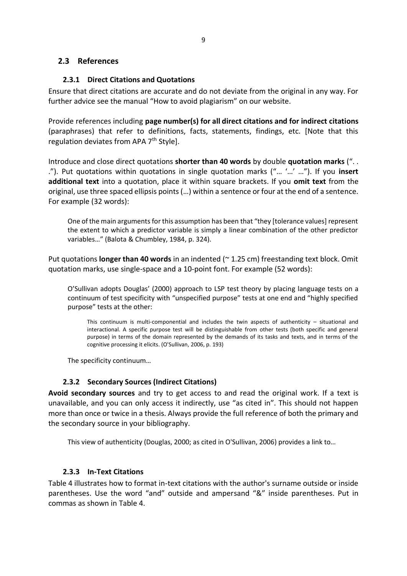## <span id="page-9-1"></span><span id="page-9-0"></span>**2.3 References**

#### **2.3.1 Direct Citations and Quotations**

Ensure that direct citations are accurate and do not deviate from the original in any way. For further advice see the manual "How to avoid plagiarism" on our website.

Provide references including **page number(s) for all direct citations and for indirect citations**  (paraphrases) that refer to definitions, facts, statements, findings, etc. [Note that this regulation deviates from APA 7<sup>th</sup> Style].

Introduce and close direct quotations **shorter than 40 words** by double **quotation marks** (". . ."). Put quotations within quotations in single quotation marks ("… '…' …"). If you **insert additional text** into a quotation, place it within square brackets. If you **omit text** from the original, use three spaced ellipsis points (…) within a sentence or four at the end of a sentence. For example (32 words):

One of the main arguments for this assumption has been that "they [tolerance values] represent the extent to which a predictor variable is simply a linear combination of the other predictor variables…" (Balota & Chumbley, 1984, p. 324).

Put quotations **longer than 40 words** in an indented (~ 1.25 cm) freestanding text block. Omit quotation marks, use single-space and a 10-point font. For example (52 words):

O'Sullivan adopts Douglas' (2000) approach to LSP test theory by placing language tests on a continuum of test specificity with "unspecified purpose" tests at one end and "highly specified purpose" tests at the other:

This continuum is multi-componential and includes the twin aspects of authenticity – situational and interactional. A specific purpose test will be distinguishable from other tests (both specific and general purpose) in terms of the domain represented by the demands of its tasks and texts, and in terms of the cognitive processing it elicits. (O'Sullivan, 2006, p. 193)

The specificity continuum…

## **2.3.2 Secondary Sources (Indirect Citations)**

<span id="page-9-2"></span>**Avoid secondary sources** and try to get access to and read the original work. If a text is unavailable, and you can only access it indirectly, use "as cited in". This should not happen more than once or twice in a thesis. Always provide the full reference of both the primary and the secondary source in your bibliography.

This view of authenticity (Douglas, 2000; as cited in O'Sullivan, 2006) provides a link to…

#### **2.3.3 In-Text Citations**

<span id="page-9-3"></span>Table 4 illustrates how to format in-text citations with the author's surname outside or inside parentheses. Use the word "and" outside and ampersand "&" inside parentheses. Put in commas as shown in Table 4.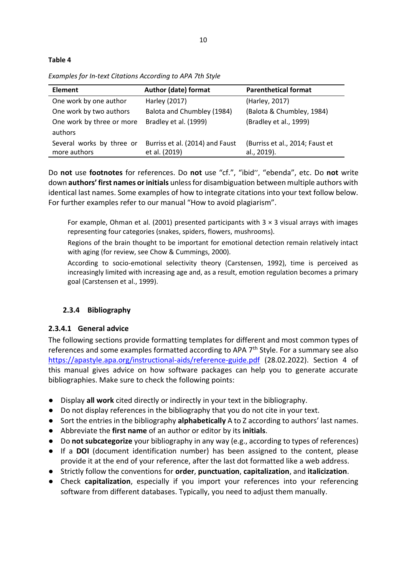#### **Table 4**

*Examples for In-text Citations According to APA 7th Style*

| <b>Element</b>                            | Author (date) format                             | <b>Parenthetical format</b>                    |
|-------------------------------------------|--------------------------------------------------|------------------------------------------------|
| One work by one author                    | Harley (2017)                                    | (Harley, 2017)                                 |
| One work by two authors                   | Balota and Chumbley (1984)                       | (Balota & Chumbley, 1984)                      |
| One work by three or more<br>authors      | Bradley et al. (1999)                            | (Bradley et al., 1999)                         |
| Several works by three or<br>more authors | Burriss et al. (2014) and Faust<br>et al. (2019) | (Burriss et al., 2014; Faust et<br>al., 2019). |

Do **not** use **footnotes** for references. Do **not** use "cf.", "ibid'', "ebenda", etc. Do **not** write down **authors' first names or initials** unless for disambiguation between multiple authors with identical last names. Some examples of how to integrate citations into your text follow below. For further examples refer to our manual "How to avoid plagiarism".

For example, Ohman et al. (2001) presented participants with  $3 \times 3$  visual arrays with images representing four categories (snakes, spiders, flowers, mushrooms).

Regions of the brain thought to be important for emotional detection remain relatively intact with aging (for review, see Chow & Cummings, 2000).

According to socio-emotional selectivity theory (Carstensen, 1992), time is perceived as increasingly limited with increasing age and, as a result, emotion regulation becomes a primary goal (Carstensen et al., 1999).

## <span id="page-10-0"></span>**2.3.4 Bibliography**

#### <span id="page-10-1"></span>**2.3.4.1 General advice**

The following sections provide formatting templates for different and most common types of references and some examples formatted according to APA 7<sup>th</sup> Style. For a summary see also <https://apastyle.apa.org/instructional-aids/reference-guide.pdf> (28.02.2022). Section 4 of this manual gives advice on how software packages can help you to generate accurate bibliographies. Make sure to check the following points:

- Display **all work** cited directly or indirectly in your text in the bibliography.
- Do not display references in the bibliography that you do not cite in your text.
- Sort the entries in the bibliography **alphabetically** A to Z according to authors' last names.
- Abbreviate the **first name** of an author or editor by its **initials**.
- Do **not subcategorize** your bibliography in any way (e.g., according to types of references)
- If a **DOI** (document identification number) has been assigned to the content, please provide it at the end of your reference, after the last dot formatted like a web address.
- Strictly follow the conventions for **order**, **punctuation**, **capitalization**, and **italicization**.
- Check **capitalization**, especially if you import your references into your referencing software from different databases. Typically, you need to adjust them manually.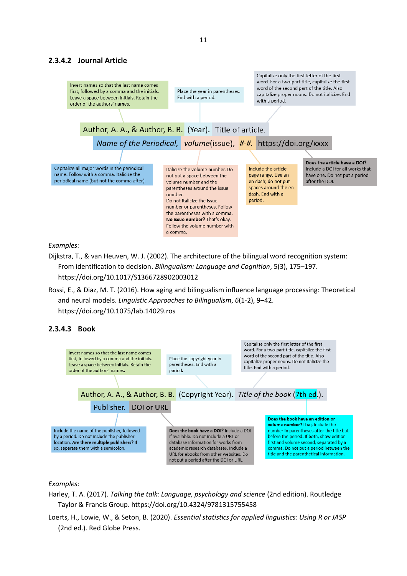#### <span id="page-11-0"></span>**2.3.4.2 Journal Article**



*Examples:* 

Dijkstra, T., & van Heuven, W. J. (2002). The architecture of the bilingual word recognition system: From identification to decision. *Bilingualism: Language and Cognition*, 5(3), 175–197. https://doi.org/10.1017/S1366728902003012

Rossi, E., & Diaz, M. T. (2016). How aging and bilingualism influence language processing: Theoretical and neural models. *Linguistic Approaches to Bilingualism*, *6*(1-2), 9–42. https://doi.org/10.1075/lab.14029.ros

#### <span id="page-11-1"></span>**2.3.4.3 Book**



#### *Examples:*

- Harley, T. A. (2017). *Talking the talk: Language, psychology and science* (2nd edition). Routledge Taylor & Francis Group. https://doi.org/10.4324/9781315755458
- Loerts, H., Lowie, W., & Seton, B. (2020). *Essential statistics for applied linguistics: Using R or JASP* (2nd ed.). Red Globe Press.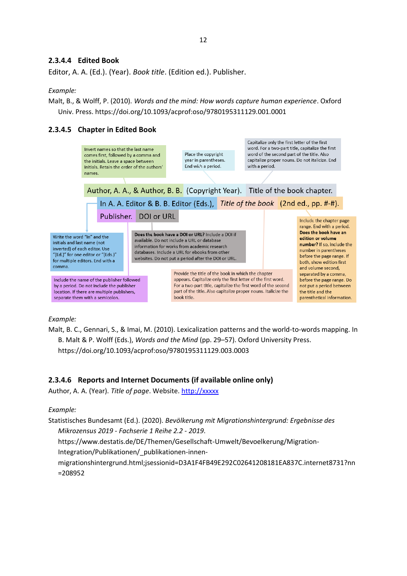#### <span id="page-12-0"></span>**2.3.4.4 Edited Book**

Editor, A. A. (Ed.). (Year). *Book title*. (Edition ed.). Publisher.

#### *Example:*

Malt, B., & Wolff, P. (2010). *Words and the mind: How words capture human experience*. Oxford Univ. Press. https://doi.org/10.1093/acprof:oso/9780195311129.001.0001

#### <span id="page-12-1"></span>**2.3.4.5 Chapter in Edited Book**



#### *Example:*

Malt, B. C., Gennari, S., & Imai, M. (2010). Lexicalization patterns and the world-to-words mapping. In B. Malt & P. Wolff (Eds.), *Words and the Mind* (pp. 29–57). Oxford University Press. https://doi.org/10.1093/acprof:oso/9780195311129.003.0003

#### <span id="page-12-2"></span>**2.3.4.6 Reports and Internet Documents (if available online only)**

Author, A. A. (Year). *Title of page*. Website[. http://xxxxx](http://xxxxx/)

#### *Example:*

Statistisches Bundesamt (Ed.). (2020). *Bevölkerung mit Migrationshintergrund: Ergebnisse des Mikrozensus 2019 - Fachserie 1 Reihe 2.2 - 2019*. https://www.destatis.de/DE/Themen/Gesellschaft-Umwelt/Bevoelkerung/Migration-Integration/Publikationen/\_publikationen-innenmigrationshintergrund.html;jsessionid=D3A1F4FB49E292C02641208181EA837C.internet8731?nn =208952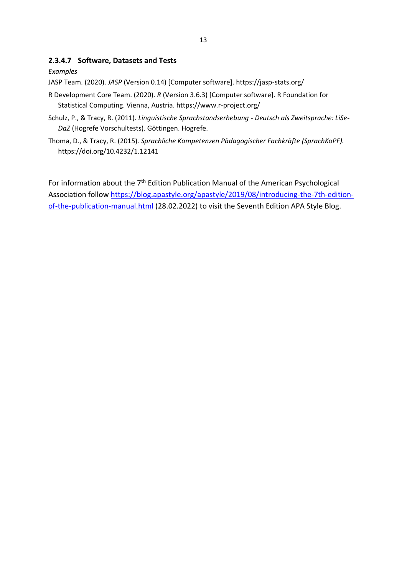#### <span id="page-13-0"></span>**2.3.4.7 Software, Datasets and Tests**

#### *Examples*

JASP Team. (2020). *JASP* (Version 0.14) [Computer software]. https://jasp-stats.org/

- R Development Core Team. (2020). *R* (Version 3.6.3) [Computer software]. R Foundation for Statistical Computing. Vienna, Austria. https://www.r-project.org/
- Schulz, P., & Tracy, R. (2011). *Linguistische Sprachstandserhebung - Deutsch als Zweitsprache: LiSe-DaZ* (Hogrefe Vorschultests). Göttingen. Hogrefe.
- Thoma, D., & Tracy, R. (2015). *Sprachliche Kompetenzen Pädagogischer Fachkräfte (SprachKoPF).*  https://doi.org/10.4232/1.12141

For information about the  $7<sup>th</sup>$  Edition Publication Manual of the American Psychological Association follow [https://blog.apastyle.org/apastyle/2019/08/introducing-the-7th-edition](https://blog.apastyle.org/apastyle/2019/08/introducing-the-7th-edition-of-the-publication-manual.html)[of-the-publication-manual.html](https://blog.apastyle.org/apastyle/2019/08/introducing-the-7th-edition-of-the-publication-manual.html) (28.02.2022) to visit the Seventh Edition APA Style Blog.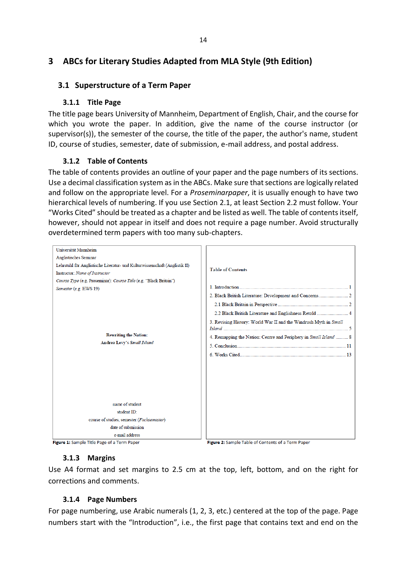# <span id="page-14-0"></span>**3 ABCs for Literary Studies Adapted from MLA Style (9th Edition)**

#### <span id="page-14-2"></span><span id="page-14-1"></span>**3.1 Superstructure of a Term Paper**

#### **3.1.1 Title Page**

The title page bears University of Mannheim, Department of English, Chair, and the course for which you wrote the paper. In addition, give the name of the course instructor (or supervisor(s)), the semester of the course, the title of the paper, the author's name, student ID, course of studies, semester, date of submission, e-mail address, and postal address.

#### **3.1.2 Table of Contents**

<span id="page-14-3"></span>The table of contents provides an outline of your paper and the page numbers of its sections. Use a decimal classification system as in the ABCs. Make sure that sections are logically related and follow on the appropriate level. For a *Proseminarpaper*, it is usually enough to have two hierarchical levels of numbering. If you use Section 2.1, at least Section 2.2 must follow. Your "Works Cited" should be treated as a chapter and be listed as well. The table of contents itself, however, should not appear in itself and does not require a page number. Avoid structurally overdetermined term papers with too many sub-chapters.



<span id="page-14-4"></span>Figure 1: Sample Title Page of a Term Paper

Figure 2: Sample Table of Contents of a Term Paper

## **3.1.3 Margins**

Use A4 format and set margins to 2.5 cm at the top, left, bottom, and on the right for corrections and comments.

#### **3.1.4 Page Numbers**

<span id="page-14-5"></span>For page numbering, use Arabic numerals (1, 2, 3, etc.) centered at the top of the page. Page numbers start with the "Introduction", i.e., the first page that contains text and end on the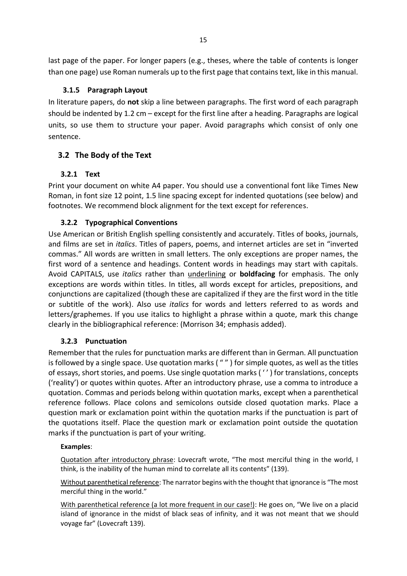last page of the paper. For longer papers (e.g., theses, where the table of contents is longer than one page) use Roman numerals up to the first page that contains text, like in this manual.

# **3.1.5 Paragraph Layout**

<span id="page-15-0"></span>In literature papers, do **not** skip a line between paragraphs. The first word of each paragraph should be indented by 1.2 cm – except for the first line after a heading. Paragraphs are logical units, so use them to structure your paper. Avoid paragraphs which consist of only one sentence.

# <span id="page-15-1"></span>**3.2 The Body of the Text**

# <span id="page-15-2"></span>**3.2.1 Text**

Print your document on white A4 paper. You should use a conventional font like Times New Roman, in font size 12 point, 1.5 line spacing except for indented quotations (see below) and footnotes. We recommend block alignment for the text except for references.

# <span id="page-15-3"></span>**3.2.2 Typographical Conventions**

Use American or British English spelling consistently and accurately. Titles of books, journals, and films are set in *italics*. Titles of papers, poems, and internet articles are set in "inverted commas." All words are written in small letters. The only exceptions are proper names, the first word of a sentence and headings. Content words in headings may start with capitals. Avoid CAPITALS, use *italics* rather than underlining or **boldfacing** for emphasis. The only exceptions are words within titles. In titles, all words except for articles, prepositions, and conjunctions are capitalized (though these are capitalized if they are the first word in the title or subtitle of the work). Also use *italics* for words and letters referred to as words and letters/graphemes. If you use italics to highlight a phrase within a quote, mark this change clearly in the bibliographical reference: (Morrison 34; emphasis added).

# <span id="page-15-4"></span>**3.2.3 Punctuation**

Remember that the rules for punctuation marks are different than in German. All punctuation is followed by a single space. Use quotation marks ( " " ) for simple quotes, as well as the titles of essays, short stories, and poems. Use single quotation marks ( ' ' ) for translations, concepts ('reality') or quotes within quotes. After an introductory phrase, use a comma to introduce a quotation. Commas and periods belong within quotation marks, except when a parenthetical reference follows. Place colons and semicolons outside closed quotation marks. Place a question mark or exclamation point within the quotation marks if the punctuation is part of the quotations itself. Place the question mark or exclamation point outside the quotation marks if the punctuation is part of your writing.

## **Examples**:

Quotation after introductory phrase: Lovecraft wrote, "The most merciful thing in the world, I think, is the inability of the human mind to correlate all its contents" (139).

Without parenthetical reference: The narrator begins with the thought that ignorance is "The most merciful thing in the world."

With parenthetical reference (a lot more frequent in our case!): He goes on, "We live on a placid island of ignorance in the midst of black seas of infinity, and it was not meant that we should voyage far" (Lovecraft 139).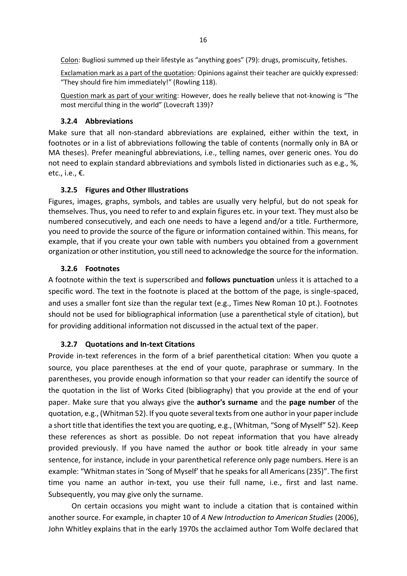Colon: Bugliosi summed up their lifestyle as "anything goes" (79): drugs, promiscuity, fetishes.

Exclamation mark as a part of the quotation: Opinions against their teacher are quickly expressed: "They should fire him immediately!" (Rowling 118).

Question mark as part of your writing: However, does he really believe that not-knowing is "The most merciful thing in the world" (Lovecraft 139)?

#### <span id="page-16-0"></span>**3.2.4 Abbreviations**

Make sure that all non-standard abbreviations are explained, either within the text, in footnotes or in a list of abbreviations following the table of contents (normally only in BA or MA theses). Prefer meaningful abbreviations, i.e., telling names, over generic ones. You do not need to explain standard abbreviations and symbols listed in dictionaries such as e.g., %, etc., i.e., €.

#### <span id="page-16-1"></span>**3.2.5 Figures and Other Illustrations**

Figures, images, graphs, symbols, and tables are usually very helpful, but do not speak for themselves. Thus, you need to refer to and explain figures etc. in your text. They must also be numbered consecutively, and each one needs to have a legend and/or a title. Furthermore, you need to provide the source of the figure or information contained within. This means, for example, that if you create your own table with numbers you obtained from a government organization or other institution, you still need to acknowledge the source for the information.

#### <span id="page-16-2"></span>**3.2.6 Footnotes**

A footnote within the text is superscribed and **follows punctuation** unless it is attached to a specific word. The text in the footnote is placed at the bottom of the page, is single-spaced, and uses a smaller font size than the regular text (e.g., Times New Roman 10 pt.). Footnotes should not be used for bibliographical information (use a parenthetical style of citation), but for providing additional information not discussed in the actual text of the paper.

#### <span id="page-16-3"></span>**3.2.7 Quotations and In-text Citations**

Provide in-text references in the form of a brief parenthetical citation: When you quote a source, you place parentheses at the end of your quote, paraphrase or summary. In the parentheses, you provide enough information so that your reader can identify the source of the quotation in the list of Works Cited (bibliography) that you provide at the end of your paper. Make sure that you always give the **author's surname** and the **page number** of the quotation, e.g., (Whitman 52). If you quote several texts from one author in your paper include a short title that identifies the text you are quoting, e.g., (Whitman, "Song of Myself" 52). Keep these references as short as possible. Do not repeat information that you have already provided previously. If you have named the author or book title already in your same sentence, for instance, include in your parenthetical reference only page numbers. Here is an example: "Whitman states in 'Song of Myself' that he speaks for all Americans (235)". The first time you name an author in-text, you use their full name, i.e., first and last name. Subsequently, you may give only the surname.

On certain occasions you might want to include a citation that is contained within another source. For example, in chapter 10 of *A New Introduction to American Studies* (2006), John Whitley explains that in the early 1970s the acclaimed author Tom Wolfe declared that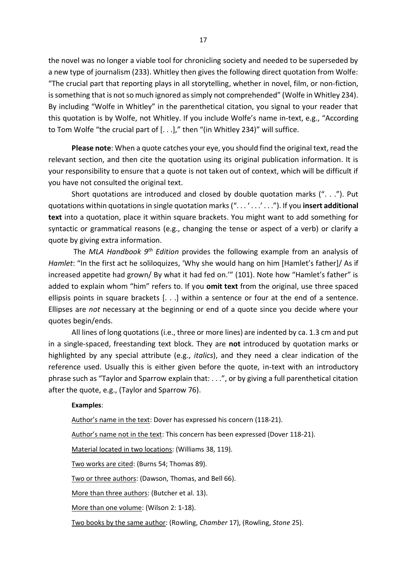the novel was no longer a viable tool for chronicling society and needed to be superseded by a new type of journalism (233). Whitley then gives the following direct quotation from Wolfe: "The crucial part that reporting plays in all storytelling, whether in novel, film, or non-fiction, is something that is not so much ignored as simply not comprehended" (Wolfe in Whitley 234). By including "Wolfe in Whitley" in the parenthetical citation, you signal to your reader that this quotation is by Wolfe, not Whitley. If you include Wolfe's name in-text, e.g., "According to Tom Wolfe "the crucial part of [. . .]," then "(in Whitley 234)" will suffice.

**Please note**: When a quote catches your eye, you should find the original text, read the relevant section, and then cite the quotation using its original publication information. It is your responsibility to ensure that a quote is not taken out of context, which will be difficult if you have not consulted the original text.

Short quotations are introduced and closed by double quotation marks (". . ."). Put quotations within quotations in single quotation marks (". . . ' . . .' . . ."). If you **insert additional text** into a quotation, place it within square brackets. You might want to add something for syntactic or grammatical reasons (e.g., changing the tense or aspect of a verb) or clarify a quote by giving extra information.

The *MLA Handbook 9th Edition* provides the following example from an analysis of *Hamlet*: "In the first act he soliloquizes, 'Why she would hang on him [Hamlet's father]/ As if increased appetite had grown/ By what it had fed on.'" (101). Note how "Hamlet's father" is added to explain whom "him" refers to. If you **omit text** from the original, use three spaced ellipsis points in square brackets [. . .] within a sentence or four at the end of a sentence. Ellipses are *not* necessary at the beginning or end of a quote since you decide where your quotes begin/ends.

All lines of long quotations (i.e., three or more lines) are indented by ca. 1.3 cm and put in a single-spaced, freestanding text block. They are **not** introduced by quotation marks or highlighted by any special attribute (e.g., *italics*), and they need a clear indication of the reference used. Usually this is either given before the quote, in-text with an introductory phrase such as "Taylor and Sparrow explain that: . . .", or by giving a full parenthetical citation after the quote, e.g., (Taylor and Sparrow 76).

#### **Examples**:

Author's name in the text: Dover has expressed his concern (118-21).

Author's name not in the text: This concern has been expressed (Dover 118-21).

Material located in two locations: (Williams 38, 119).

Two works are cited: (Burns 54; Thomas 89).

Two or three authors: (Dawson, Thomas, and Bell 66).

More than three authors: (Butcher et al. 13).

More than one volume: (Wilson 2: 1-18).

Two books by the same author: (Rowling, *Chamber* 17), (Rowling, *Stone* 25).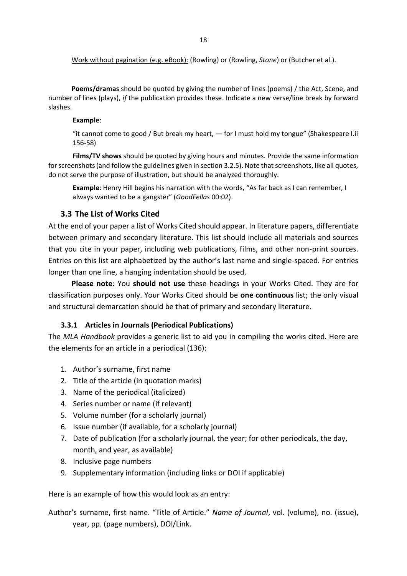**Poems/dramas** should be quoted by giving the number of lines (poems) / the Act, Scene, and number of lines (plays), *if* the publication provides these. Indicate a new verse/line break by forward slashes.

#### **Example**:

"it cannot come to good / But break my heart, — for I must hold my tongue" (Shakespeare I.ii 156-58)

**Films/TV shows** should be quoted by giving hours and minutes. Provide the same information for screenshots (and follow the guidelines given in section 3.2.5). Note that screenshots, like all quotes, do not serve the purpose of illustration, but should be analyzed thoroughly.

**Example**: Henry Hill begins his narration with the words, "As far back as I can remember, I always wanted to be a gangster" (*GoodFellas* 00:02).

#### <span id="page-18-0"></span>**3.3 The List of Works Cited**

At the end of your paper a list of Works Cited should appear. In literature papers, differentiate between primary and secondary literature. This list should include all materials and sources that you cite in your paper, including web publications, films, and other non-print sources. Entries on this list are alphabetized by the author's last name and single-spaced. For entries longer than one line, a hanging indentation should be used.

**Please note**: You **should not use** these headings in your Works Cited. They are for classification purposes only. Your Works Cited should be **one continuous** list; the only visual and structural demarcation should be that of primary and secondary literature.

#### <span id="page-18-1"></span>**3.3.1 Articles in Journals (Periodical Publications)**

The *MLA Handbook* provides a generic list to aid you in compiling the works cited. Here are the elements for an article in a periodical (136):

- 1. Author's surname, first name
- 2. Title of the article (in quotation marks)
- 3. Name of the periodical (italicized)
- 4. Series number or name (if relevant)
- 5. Volume number (for a scholarly journal)
- 6. Issue number (if available, for a scholarly journal)
- 7. Date of publication (for a scholarly journal, the year; for other periodicals, the day, month, and year, as available)
- 8. Inclusive page numbers
- 9. Supplementary information (including links or DOI if applicable)

Here is an example of how this would look as an entry:

# Author's surname, first name. "Title of Article." *Name of Journal*, vol. (volume), no. (issue), year, pp. (page numbers), DOI/Link.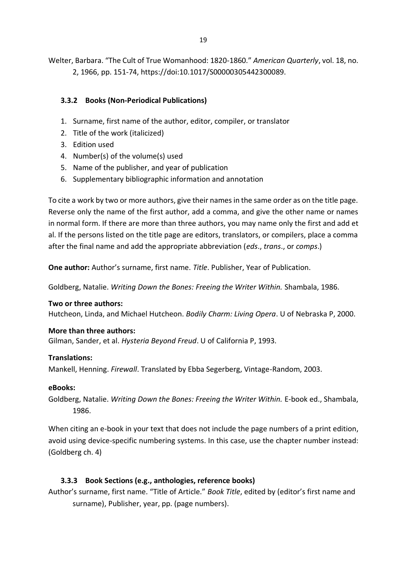Welter, Barbara. "The Cult of True Womanhood: 1820-1860." *American Quarterly*, vol. 18, no. 2, 1966, pp. 151-74, https://doi:10.1017/S00000305442300089.

## <span id="page-19-0"></span>**3.3.2 Books (Non-Periodical Publications)**

- 1. Surname, first name of the author, editor, compiler, or translator
- 2. Title of the work (italicized)
- 3. Edition used
- 4. Number(s) of the volume(s) used
- 5. Name of the publisher, and year of publication
- 6. Supplementary bibliographic information and annotation

To cite a work by two or more authors, give their names in the same order as on the title page. Reverse only the name of the first author, add a comma, and give the other name or names in normal form. If there are more than three authors, you may name only the first and add et al. If the persons listed on the title page are editors, translators, or compilers, place a comma after the final name and add the appropriate abbreviation (*eds*., *trans*., or *comps*.)

**One author:** Author's surname, first name. *Title*. Publisher, Year of Publication.

Goldberg, Natalie. *Writing Down the Bones: Freeing the Writer Within.* Shambala, 1986.

#### **Two or three authors:**

Hutcheon, Linda, and Michael Hutcheon. *Bodily Charm: Living Opera*. U of Nebraska P, 2000.

#### **More than three authors:**

Gilman, Sander, et al. *Hysteria Beyond Freud*. U of California P, 1993.

## **Translations:**

Mankell, Henning. *Firewall*. Translated by Ebba Segerberg, Vintage-Random, 2003.

#### **eBooks:**

Goldberg, Natalie. *Writing Down the Bones: Freeing the Writer Within.* E-book ed., Shambala, 1986.

When citing an e-book in your text that does not include the page numbers of a print edition, avoid using device-specific numbering systems. In this case, use the chapter number instead: (Goldberg ch. 4)

## <span id="page-19-1"></span>**3.3.3 Book Sections (e.g., anthologies, reference books)**

Author's surname, first name. "Title of Article." *Book Title*, edited by (editor's first name and surname), Publisher, year, pp. (page numbers).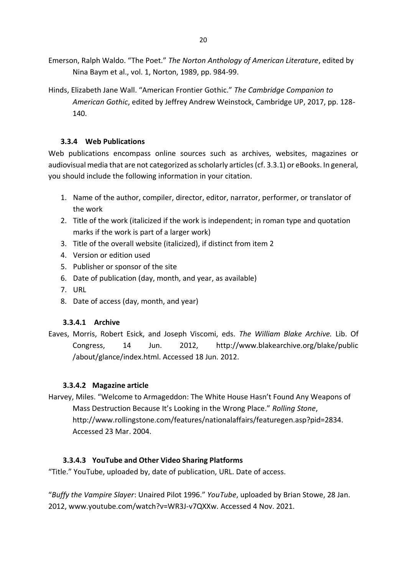- Emerson, Ralph Waldo. "The Poet." *The Norton Anthology of American Literature*, edited by Nina Baym et al., vol. 1, Norton, 1989, pp. 984-99.
- Hinds, Elizabeth Jane Wall. "American Frontier Gothic." *The Cambridge Companion to American Gothic*, edited by Jeffrey Andrew Weinstock, Cambridge UP, 2017, pp. 128- 140.

## <span id="page-20-0"></span>**3.3.4 Web Publications**

Web publications encompass online sources such as archives, websites, magazines or audiovisual media that are not categorized as scholarly articles (cf. 3.3.1) or eBooks. In general, you should include the following information in your citation.

- 1. Name of the author, compiler, director, editor, narrator, performer, or translator of the work
- 2. Title of the work (italicized if the work is independent; in roman type and quotation marks if the work is part of a larger work)
- 3. Title of the overall website (italicized), if distinct from item 2
- 4. Version or edition used
- 5. Publisher or sponsor of the site
- 6. Date of publication (day, month, and year, as available)
- 7. URL
- 8. Date of access (day, month, and year)

## <span id="page-20-1"></span>**3.3.4.1 Archive**

Eaves, Morris, Robert Esick, and Joseph Viscomi, eds. *The William Blake Archive.* Lib. Of Congress, 14 Jun. 2012, http://www.blakearchive.org/blake/public /about/glance/index.html. Accessed 18 Jun. 2012.

## <span id="page-20-2"></span>**3.3.4.2 Magazine article**

Harvey, Miles. "Welcome to Armageddon: The White House Hasn't Found Any Weapons of Mass Destruction Because It's Looking in the Wrong Place." *Rolling Stone*, http://www.rollingstone.com/features/nationalaffairs/featuregen.asp?pid=2834. Accessed 23 Mar. 2004.

## **3.3.4.3 YouTube and Other Video Sharing Platforms**

"Title." YouTube, uploaded by, date of publication, URL. Date of access.

"*Buffy the Vampire Slayer*: Unaired Pilot 1996." *YouTube*, uploaded by Brian Stowe, 28 Jan. 2012, www.youtube.com/watch?v=WR3J-v7QXXw. Accessed 4 Nov. 2021.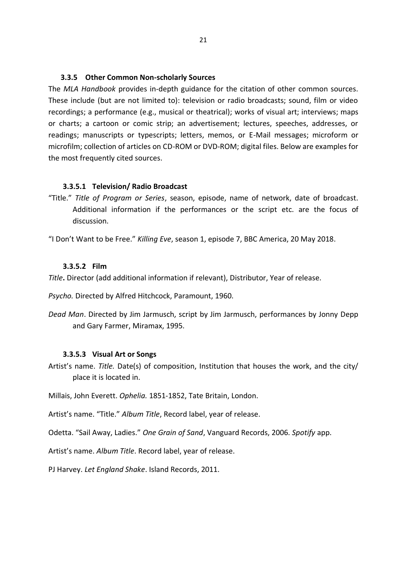#### <span id="page-21-0"></span>**3.3.5 Other Common Non-scholarly Sources**

The *MLA Handbook* provides in-depth guidance for the citation of other common sources. These include (but are not limited to): television or radio broadcasts; sound, film or video recordings; a performance (e.g., musical or theatrical); works of visual art; interviews; maps or charts; a cartoon or comic strip; an advertisement; lectures, speeches, addresses, or readings; manuscripts or typescripts; letters, memos, or E-Mail messages; microform or microfilm; collection of articles on CD-ROM or DVD-ROM; digital files. Below are examples for the most frequently cited sources.

#### <span id="page-21-1"></span>**3.3.5.1 Television/ Radio Broadcast**

"Title." *Title of Program or Series*, season, episode, name of network, date of broadcast. Additional information if the performances or the script etc. are the focus of discussion.

"I Don't Want to be Free." *Killing Eve*, season 1, episode 7, BBC America, 20 May 2018.

#### <span id="page-21-2"></span>**3.3.5.2 Film**

*Title***.** Director (add additional information if relevant), Distributor, Year of release.

*Psycho.* Directed by Alfred Hitchcock, Paramount, 1960.

*Dead Man*. Directed by Jim Jarmusch, script by Jim Jarmusch, performances by Jonny Depp and Gary Farmer, Miramax, 1995.

#### <span id="page-21-3"></span>**3.3.5.3 Visual Art or Songs**

Artist's name. *Title.* Date(s) of composition, Institution that houses the work, and the city/ place it is located in.

Millais, John Everett. *Ophelia.* 1851-1852, Tate Britain, London.

Artist's name. "Title." *Album Title*, Record label, year of release.

Odetta. "Sail Away, Ladies." *One Grain of Sand*, Vanguard Records, 2006. *Spotify* app.

Artist's name. *Album Title*. Record label, year of release.

<span id="page-21-4"></span>PJ Harvey. *Let England Shake*. Island Records, 2011.